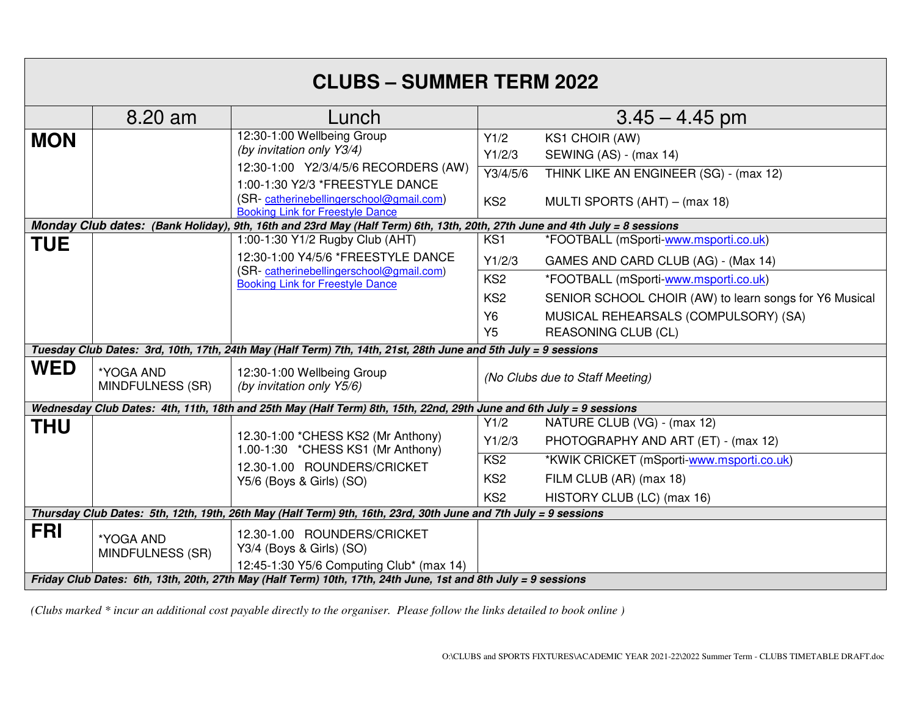| <b>CLUBS - SUMMER TERM 2022</b>                                                                                            |                                      |                                                                                                                                                                                                                          |                                               |                                                                                                                            |
|----------------------------------------------------------------------------------------------------------------------------|--------------------------------------|--------------------------------------------------------------------------------------------------------------------------------------------------------------------------------------------------------------------------|-----------------------------------------------|----------------------------------------------------------------------------------------------------------------------------|
|                                                                                                                            | 8.20 am                              | Lunch                                                                                                                                                                                                                    |                                               | $3.45 - 4.45$ pm                                                                                                           |
| <b>MON</b>                                                                                                                 |                                      | 12:30-1:00 Wellbeing Group<br>(by invitation only Y3/4)<br>12:30-1:00 Y2/3/4/5/6 RECORDERS (AW)<br>1:00-1:30 Y2/3 *FREESTYLE DANCE<br>(SR-catherinebellingerschool@gmail.com)<br><b>Booking Link for Freestyle Dance</b> | Y1/2<br>Y1/2/3<br>Y3/4/5/6<br>KS <sub>2</sub> | <b>KS1 CHOIR (AW)</b><br>SEWING (AS) - (max 14)<br>THINK LIKE AN ENGINEER (SG) - (max 12)<br>MULTI SPORTS (AHT) - (max 18) |
| Monday Club dates: (Bank Holiday), 9th, 16th and 23rd May (Half Term) 6th, 13th, 20th, 27th June and 4th July = 8 sessions |                                      |                                                                                                                                                                                                                          |                                               |                                                                                                                            |
| <b>TUE</b>                                                                                                                 |                                      | 1:00-1:30 Y1/2 Rugby Club (AHT)                                                                                                                                                                                          | KS1                                           | *FOOTBALL (mSporti-www.msporti.co.uk)                                                                                      |
|                                                                                                                            |                                      | 12:30-1:00 Y4/5/6 *FREESTYLE DANCE                                                                                                                                                                                       | Y1/2/3                                        | GAMES AND CARD CLUB (AG) - (Max 14)                                                                                        |
|                                                                                                                            |                                      | (SR-catherinebellingerschool@gmail.com)<br><b>Booking Link for Freestyle Dance</b>                                                                                                                                       | KS <sub>2</sub>                               | *FOOTBALL (mSporti-www.msporti.co.uk)                                                                                      |
|                                                                                                                            |                                      |                                                                                                                                                                                                                          | KS <sub>2</sub>                               | SENIOR SCHOOL CHOIR (AW) to learn songs for Y6 Musical                                                                     |
|                                                                                                                            |                                      |                                                                                                                                                                                                                          | <b>Y6</b>                                     | MUSICAL REHEARSALS (COMPULSORY) (SA)                                                                                       |
|                                                                                                                            |                                      |                                                                                                                                                                                                                          | Y <sub>5</sub>                                | <b>REASONING CLUB (CL)</b>                                                                                                 |
| Tuesday Club Dates: 3rd, 10th, 17th, 24th May (Half Term) 7th, 14th, 21st, 28th June and 5th July = 9 sessions             |                                      |                                                                                                                                                                                                                          |                                               |                                                                                                                            |
| <b>WED</b>                                                                                                                 | *YOGA AND<br><b>MINDFULNESS (SR)</b> | 12:30-1:00 Wellbeing Group<br>(by invitation only Y5/6)                                                                                                                                                                  | (No Clubs due to Staff Meeting)               |                                                                                                                            |
| Wednesday Club Dates: 4th, 11th, 18th and 25th May (Half Term) 8th, 15th, 22nd, 29th June and 6th July = 9 sessions        |                                      |                                                                                                                                                                                                                          |                                               |                                                                                                                            |
| <b>THU</b>                                                                                                                 |                                      | 12.30-1:00 *CHESS KS2 (Mr Anthony)<br>1.00-1:30 *CHESS KS1 (Mr Anthony)                                                                                                                                                  | Y1/2                                          | NATURE CLUB (VG) - (max 12)                                                                                                |
|                                                                                                                            |                                      |                                                                                                                                                                                                                          | Y1/2/3                                        | PHOTOGRAPHY AND ART (ET) - (max 12)                                                                                        |
|                                                                                                                            |                                      | 12.30-1.00 ROUNDERS/CRICKET                                                                                                                                                                                              | KS <sub>2</sub>                               | *KWIK CRICKET (mSporti-www.msporti.co.uk)                                                                                  |
|                                                                                                                            |                                      | Y5/6 (Boys & Girls) (SO)                                                                                                                                                                                                 | KS <sub>2</sub>                               | FILM CLUB (AR) (max 18)                                                                                                    |
|                                                                                                                            |                                      |                                                                                                                                                                                                                          | KS <sub>2</sub>                               | HISTORY CLUB (LC) (max 16)                                                                                                 |
| Thursday Club Dates: 5th, 12th, 19th, 26th May (Half Term) 9th, 16th, 23rd, 30th June and 7th July = 9 sessions            |                                      |                                                                                                                                                                                                                          |                                               |                                                                                                                            |
| <b>FRI</b>                                                                                                                 | *YOGA AND<br>MINDFULNESS (SR)        | 12.30-1.00 ROUNDERS/CRICKET<br>Y3/4 (Boys & Girls) (SO)<br>12:45-1:30 Y5/6 Computing Club* (max 14)                                                                                                                      |                                               |                                                                                                                            |
| Friday Club Dates: 6th, 13th, 20th, 27th May (Half Term) 10th, 17th, 24th June, 1st and 8th July = 9 sessions              |                                      |                                                                                                                                                                                                                          |                                               |                                                                                                                            |

*(Clubs marked \* incur an additional cost payable directly to the organiser. Please follow the links detailed to book online )*